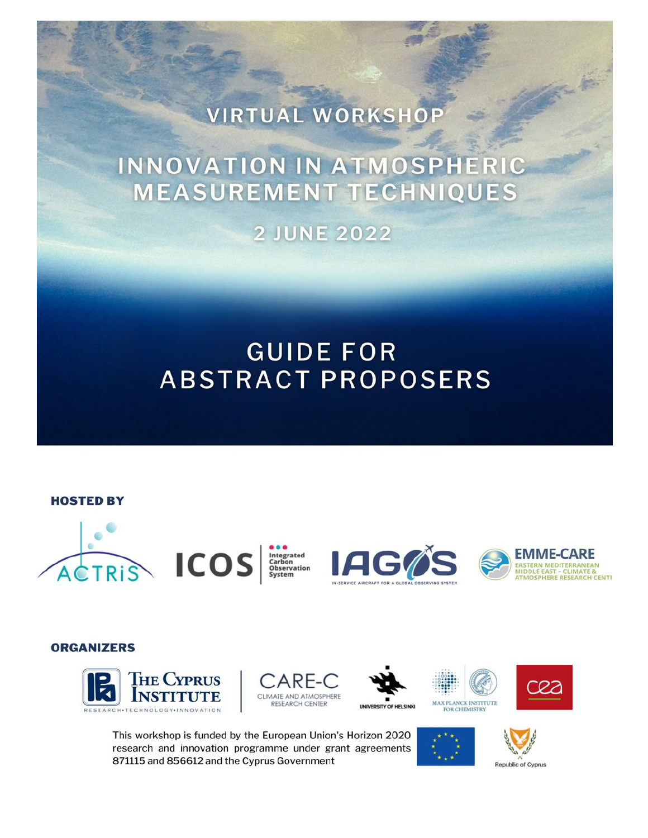# VIRTUAL WORKSHOP

# INNOVATION IN ATMOSPHERIC **MEASUREMENT TECHNIQUES**

**2 JUNE 2022** 

## **GUIDE FOR ABSTRACT PROPOSERS**

#### **HOSTED BY**







#### **ORGANIZERS**











This workshop is funded by the European Union's Horizon 2020 research and innovation programme under grant agreements 871115 and 856612 and the Cyprus Government





**Republic of Cyprus**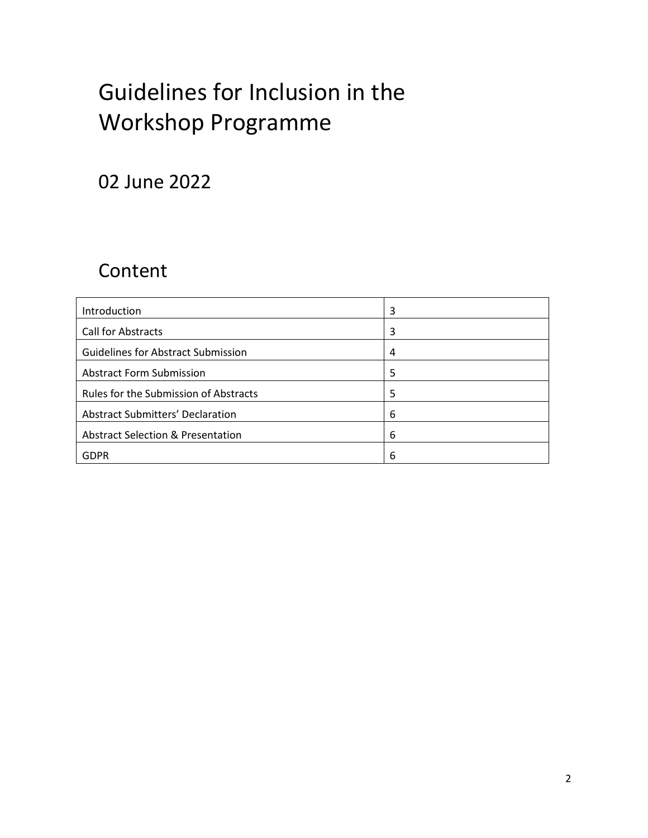# Guidelines for Inclusion in the Workshop Programme

## 02 June 2022

## Content

| Introduction                                 | 3 |
|----------------------------------------------|---|
| <b>Call for Abstracts</b>                    | 3 |
| <b>Guidelines for Abstract Submission</b>    | 4 |
| <b>Abstract Form Submission</b>              | 5 |
| Rules for the Submission of Abstracts        | 5 |
| <b>Abstract Submitters' Declaration</b>      | 6 |
| <b>Abstract Selection &amp; Presentation</b> | 6 |
| GDPR                                         | 6 |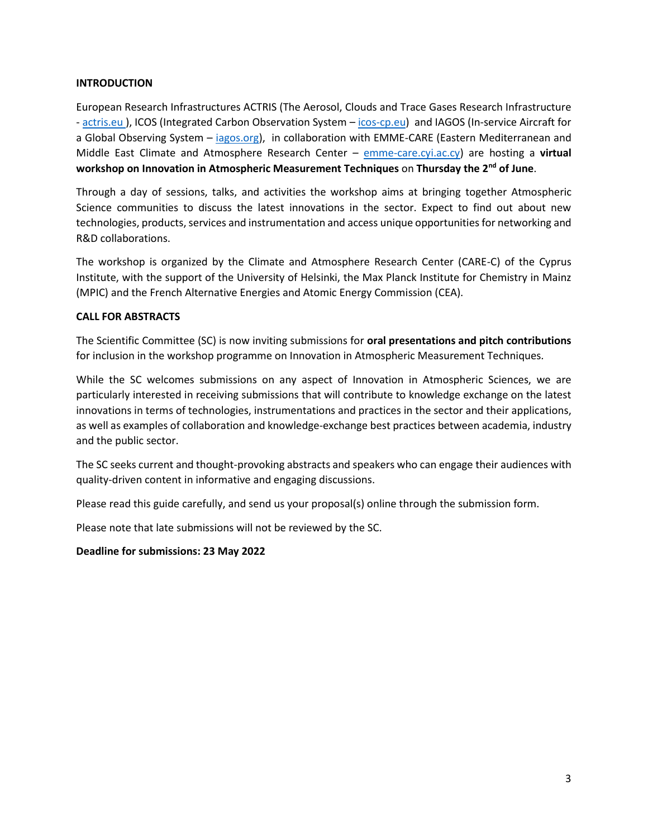#### **INTRODUCTION**

European Research Infrastructures ACTRIS (The Aerosol, Clouds and Trace Gases Research Infrastructure - actris.eu), ICOS (Integrated Carbon Observation System – [icos-cp.eu\)](https://www.icos-cp.eu/index.php/) and IAGOS (In-service Aircraft for a Global Observing System – [iagos.org\)](https://www.iagos.org/), in collaboration with EMME-CARE (Eastern Mediterranean and Middle East Climate and Atmosphere Research Center – [emme-care.cyi.ac.cy\)](about:blank) are hosting a **virtual workshop on Innovation in Atmospheric Measurement Techniques** on **Thursday the 2nd of June**.

Through a day of sessions, talks, and activities the workshop aims at bringing together Atmospheric Science communities to discuss the latest innovations in the sector. Expect to find out about new technologies, products, services and instrumentation and access unique opportunities for networking and R&D collaborations.

The workshop is organized by the Climate and Atmosphere Research Center (CARE-C) of the Cyprus Institute, with the support of the University of Helsinki, the Max Planck Institute for Chemistry in Mainz (MPIC) and the French Alternative Energies and Atomic Energy Commission (CEA).

#### **CALL FOR ABSTRACTS**

The Scientific Committee (SC) is now inviting submissions for **oral presentations and pitch contributions**  for inclusion in the workshop programme on Innovation in Atmospheric Measurement Techniques*.*

While the SC welcomes submissions on any aspect of Innovation in Atmospheric Sciences, we are particularly interested in receiving submissions that will contribute to knowledge exchange on the latest innovations in terms of technologies, instrumentations and practices in the sector and their applications, as well as examples of collaboration and knowledge-exchange best practices between academia, industry and the public sector.

The SC seeks current and thought-provoking abstracts and speakers who can engage their audiences with quality-driven content in informative and engaging discussions.

Please read this guide carefully, and send us your proposal(s) online through the submission form.

Please note that late submissions will not be reviewed by the SC.

#### **Deadline for submissions: 23 May 2022**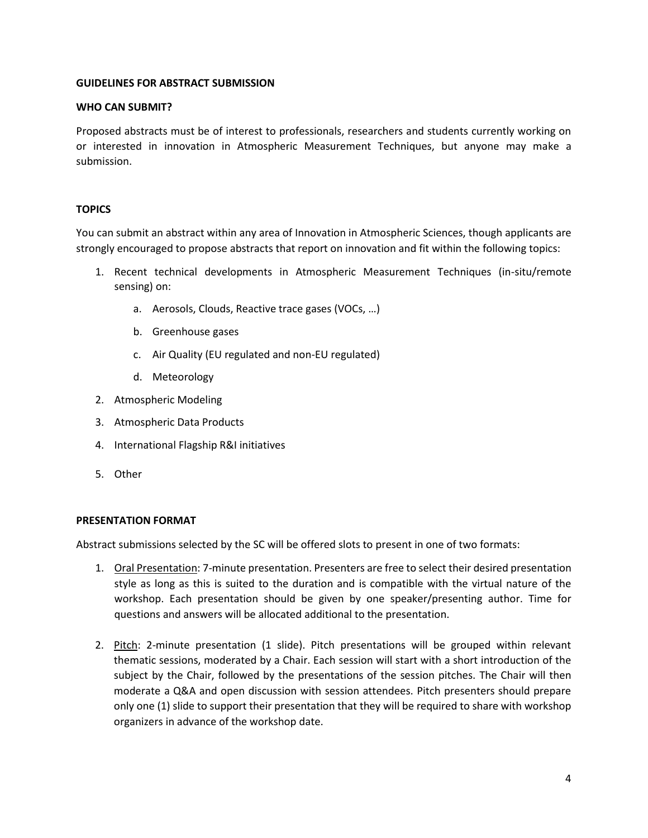#### **GUIDELINES FOR ABSTRACT SUBMISSION**

#### **WHO CAN SUBMIT?**

Proposed abstracts must be of interest to professionals, researchers and students currently working on or interested in innovation in Atmospheric Measurement Techniques, but anyone may make a submission.

#### **TOPICS**

You can submit an abstract within any area of Innovation in Atmospheric Sciences, though applicants are strongly encouraged to propose abstracts that report on innovation and fit within the following topics:

- 1. Recent technical developments in Atmospheric Measurement Techniques (in-situ/remote sensing) on:
	- a. Aerosols, Clouds, Reactive trace gases (VOCs, …)
	- b. Greenhouse gases
	- c. Air Quality (EU regulated and non-EU regulated)
	- d. Meteorology
- 2. Atmospheric Modeling
- 3. Atmospheric Data Products
- 4. International Flagship R&I initiatives
- 5. Other

#### **PRESENTATION FORMAT**

Abstract submissions selected by the SC will be offered slots to present in one of two formats:

- 1. Oral Presentation: 7-minute presentation. Presenters are free to select their desired presentation style as long as this is suited to the duration and is compatible with the virtual nature of the workshop. Each presentation should be given by one speaker/presenting author. Time for questions and answers will be allocated additional to the presentation.
- 2. Pitch: 2-minute presentation (1 slide). Pitch presentations will be grouped within relevant thematic sessions, moderated by a Chair. Each session will start with a short introduction of the subject by the Chair, followed by the presentations of the session pitches. The Chair will then moderate a Q&A and open discussion with session attendees. Pitch presenters should prepare only one (1) slide to support their presentation that they will be required to share with workshop organizers in advance of the workshop date.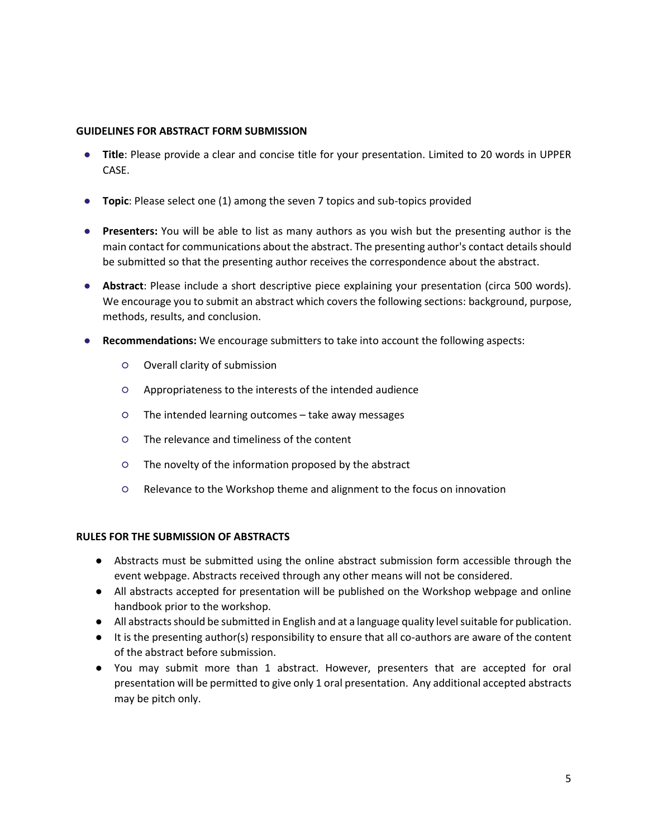#### **GUIDELINES FOR ABSTRACT FORM SUBMISSION**

- **Title**: Please provide a clear and concise title for your presentation. Limited to 20 words in UPPER CASE.
- **Topic**: Please select one (1) among the seven 7 topics and sub-topics provided
- **Presenters:** You will be able to list as many authors as you wish but the presenting author is the main contact for communications about the abstract. The presenting author's contact details should be submitted so that the presenting author receives the correspondence about the abstract.
- **Abstract**: Please include a short descriptive piece explaining your presentation (circa 500 words). We encourage you to submit an abstract which covers the following sections: background, purpose, methods, results, and conclusion.
- **Recommendations:** We encourage submitters to take into account the following aspects:
	- Overall clarity of submission
	- Appropriateness to the interests of the intended audience
	- The intended learning outcomes take away messages
	- The relevance and timeliness of the content
	- The novelty of the information proposed by the abstract
	- Relevance to the Workshop theme and alignment to the focus on innovation

#### **RULES FOR THE SUBMISSION OF ABSTRACTS**

- Abstracts must be submitted using the online abstract submission form accessible through the event webpage. Abstracts received through any other means will not be considered.
- All abstracts accepted for presentation will be published on the Workshop webpage and online handbook prior to the workshop.
- All abstracts should be submitted in English and at a language quality level suitable for publication.
- It is the presenting author(s) responsibility to ensure that all co-authors are aware of the content of the abstract before submission.
- You may submit more than 1 abstract. However, presenters that are accepted for oral presentation will be permitted to give only 1 oral presentation. Any additional accepted abstracts may be pitch only.